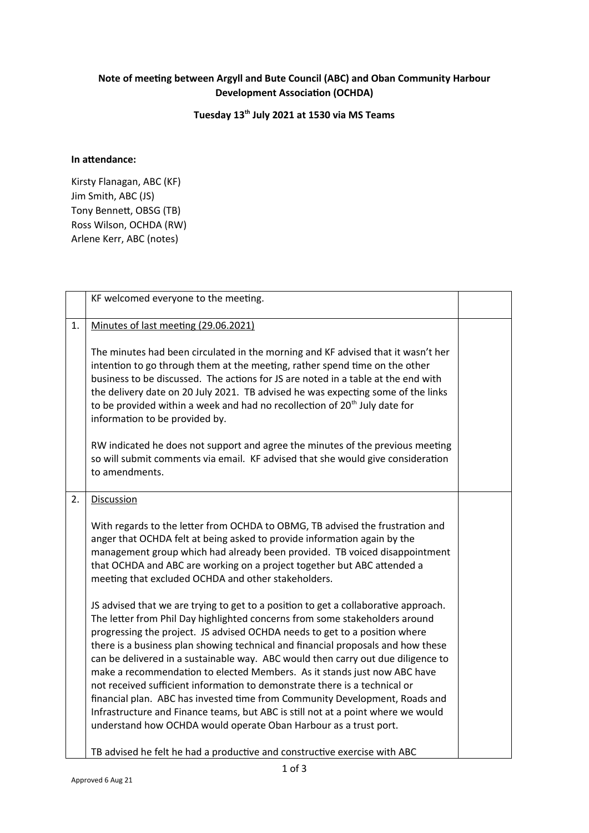## **Note of meeting between Argyll and Bute Council (ABC) and Oban Community Harbour Development Association (OCHDA)**

## **Tuesday 13th July 2021 at 1530 via MS Teams**

## **In attendance:**

Kirsty Flanagan, ABC (KF) Jim Smith, ABC (JS) Tony Bennett, OBSG (TB) Ross Wilson, OCHDA (RW) Arlene Kerr, ABC (notes)

|    | KF welcomed everyone to the meeting.                                                                                                                                                                                                                                                                                                                                                                                                                                                                                                                                                                                                                                                                                                                                                                                      |  |
|----|---------------------------------------------------------------------------------------------------------------------------------------------------------------------------------------------------------------------------------------------------------------------------------------------------------------------------------------------------------------------------------------------------------------------------------------------------------------------------------------------------------------------------------------------------------------------------------------------------------------------------------------------------------------------------------------------------------------------------------------------------------------------------------------------------------------------------|--|
| 1. | Minutes of last meeting (29.06.2021)                                                                                                                                                                                                                                                                                                                                                                                                                                                                                                                                                                                                                                                                                                                                                                                      |  |
|    | The minutes had been circulated in the morning and KF advised that it wasn't her<br>intention to go through them at the meeting, rather spend time on the other<br>business to be discussed. The actions for JS are noted in a table at the end with<br>the delivery date on 20 July 2021. TB advised he was expecting some of the links<br>to be provided within a week and had no recollection of 20 <sup>th</sup> July date for<br>information to be provided by.                                                                                                                                                                                                                                                                                                                                                      |  |
|    | RW indicated he does not support and agree the minutes of the previous meeting<br>so will submit comments via email. KF advised that she would give consideration<br>to amendments.                                                                                                                                                                                                                                                                                                                                                                                                                                                                                                                                                                                                                                       |  |
| 2. | <b>Discussion</b>                                                                                                                                                                                                                                                                                                                                                                                                                                                                                                                                                                                                                                                                                                                                                                                                         |  |
|    | With regards to the letter from OCHDA to OBMG, TB advised the frustration and<br>anger that OCHDA felt at being asked to provide information again by the<br>management group which had already been provided. TB voiced disappointment<br>that OCHDA and ABC are working on a project together but ABC attended a<br>meeting that excluded OCHDA and other stakeholders.                                                                                                                                                                                                                                                                                                                                                                                                                                                 |  |
|    | JS advised that we are trying to get to a position to get a collaborative approach.<br>The letter from Phil Day highlighted concerns from some stakeholders around<br>progressing the project. JS advised OCHDA needs to get to a position where<br>there is a business plan showing technical and financial proposals and how these<br>can be delivered in a sustainable way. ABC would then carry out due diligence to<br>make a recommendation to elected Members. As it stands just now ABC have<br>not received sufficient information to demonstrate there is a technical or<br>financial plan. ABC has invested time from Community Development, Roads and<br>Infrastructure and Finance teams, but ABC is still not at a point where we would<br>understand how OCHDA would operate Oban Harbour as a trust port. |  |
|    | TB advised he felt he had a productive and constructive exercise with ABC                                                                                                                                                                                                                                                                                                                                                                                                                                                                                                                                                                                                                                                                                                                                                 |  |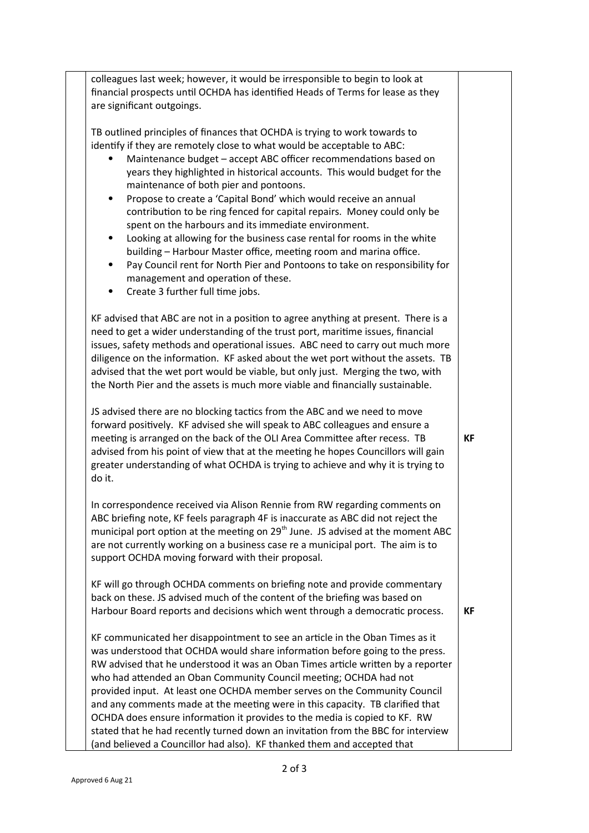colleagues last week; however, it would be irresponsible to begin to look at financial prospects until OCHDA has identified Heads of Terms for lease as they are significant outgoings. TB outlined principles of finances that OCHDA is trying to work towards to identify if they are remotely close to what would be acceptable to ABC: Maintenance budget – accept ABC officer recommendations based on years they highlighted in historical accounts. This would budget for the maintenance of both pier and pontoons. Propose to create a 'Capital Bond' which would receive an annual contribution to be ring fenced for capital repairs. Money could only be spent on the harbours and its immediate environment. Looking at allowing for the business case rental for rooms in the white building – Harbour Master office, meeting room and marina office. Pay Council rent for North Pier and Pontoons to take on responsibility for management and operation of these. Create 3 further full time jobs. KF advised that ABC are not in a position to agree anything at present. There is a need to get a wider understanding of the trust port, maritime issues, financial issues, safety methods and operational issues. ABC need to carry out much more diligence on the information. KF asked about the wet port without the assets. TB advised that the wet port would be viable, but only just. Merging the two, with the North Pier and the assets is much more viable and financially sustainable. JS advised there are no blocking tactics from the ABC and we need to move forward positively. KF advised she will speak to ABC colleagues and ensure a meeting is arranged on the back of the OLI Area Committee after recess. TB advised from his point of view that at the meeting he hopes Councillors will gain greater understanding of what OCHDA is trying to achieve and why it is trying to do it. In correspondence received via Alison Rennie from RW regarding comments on ABC briefing note, KF feels paragraph 4F is inaccurate as ABC did not reject the municipal port option at the meeting on 29<sup>th</sup> June. JS advised at the moment ABC are not currently working on a business case re a municipal port. The aim is to support OCHDA moving forward with their proposal. KF will go through OCHDA comments on briefing note and provide commentary back on these. JS advised much of the content of the briefing was based on Harbour Board reports and decisions which went through a democratic process. KF communicated her disappointment to see an article in the Oban Times as it was understood that OCHDA would share information before going to the press. RW advised that he understood it was an Oban Times article written by a reporter who had attended an Oban Community Council meeting; OCHDA had not provided input. At least one OCHDA member serves on the Community Council and any comments made at the meeting were in this capacity. TB clarified that OCHDA does ensure information it provides to the media is copied to KF. RW stated that he had recently turned down an invitation from the BBC for interview **KF KF**

(and believed a Councillor had also). KF thanked them and accepted that